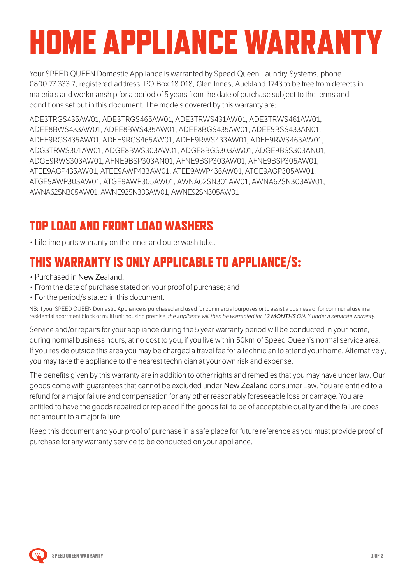# HOME APPLIANCE WARRANTY

Your SPEED QUEEN Domestic Appliance is warranted by Speed Queen Laundry Systems, phone 0800 77 333 7, registered address: PO Box 18 018, Glen Innes, Auckland 1743 to be free from defects in materials and workmanship for a period of 5 years from the date of purchase subject to the terms and conditions set out in this document. The models covered by this warranty are:

ADE3TRGS435AW01, ADE3TRGS465AW01, ADE3TRWS431AW01, ADE3TRWS461AW01, ADEE8BWS433AW01, ADEE8BWS435AW01, ADEE8BGS435AW01, ADEE9BSS433AN01, ADEE9RGS435AW01, ADEE9RGS465AW01, ADEE9RWS433AW01, ADEE9RWS463AW01, ADG3TRWS301AW01, ADGE8BWS303AW01, ADGE8BGS303AW01, ADGE9BSS303AN01, ADGE9RWS303AW01, AFNE9BSP303AN01, AFNE9BSP303AW01, AFNE9BSP305AW01, ATEE9AGP435AW01, ATEE9AWP433AW01, ATEE9AWP435AW01, ATGE9AGP305AW01, ATGE9AWP303AW01, ATGE9AWP305AW01, AWNA62SN301AW01, AWNA62SN303AW01, AWNA62SN305AW01, AWNE92SN303AW01, AWNE92SN305AW01

### TOP LOAD AND FRONT LOAD WASHERS

• Lifetime parts warranty on the inner and outer wash tubs.

#### THIS WARRANTY IS ONLY APPLICABLE TO APPLIANCE/S:

- Purchased in New Zealand.
- From the date of purchase stated on your proof of purchase; and
- For the period/s stated in this document.

NB: If your SPEED QUEEN Domestic Appliance is purchased and used for commercial purposes or to assist a business or for communal use in a residential apartment block or multi unit housing premise, the appliance will then be warranted for 12 MONTHS ONLY under a separate warranty.

Service and/or repairs for your appliance during the 5 year warranty period will be conducted in your home, during normal business hours, at no cost to you, if you live within 50km of Speed Queen's normal service area. If you reside outside this area you may be charged a travel fee for a technician to attend your home. Alternatively, you may take the appliance to the nearest technician at your own risk and expense.

The benefits given by this warranty are in addition to other rights and remedies that you may have under law. Our goods come with guarantees that cannot be excluded under New Zealand consumer Law. You are entitled to a refund for a major failure and compensation for any other reasonably foreseeable loss or damage. You are entitled to have the goods repaired or replaced if the goods fail to be of acceptable quality and the failure does not amount to a major failure.

Keep this document and your proof of purchase in a safe place for future reference as you must provide proof of purchase for any warranty service to be conducted on your appliance.